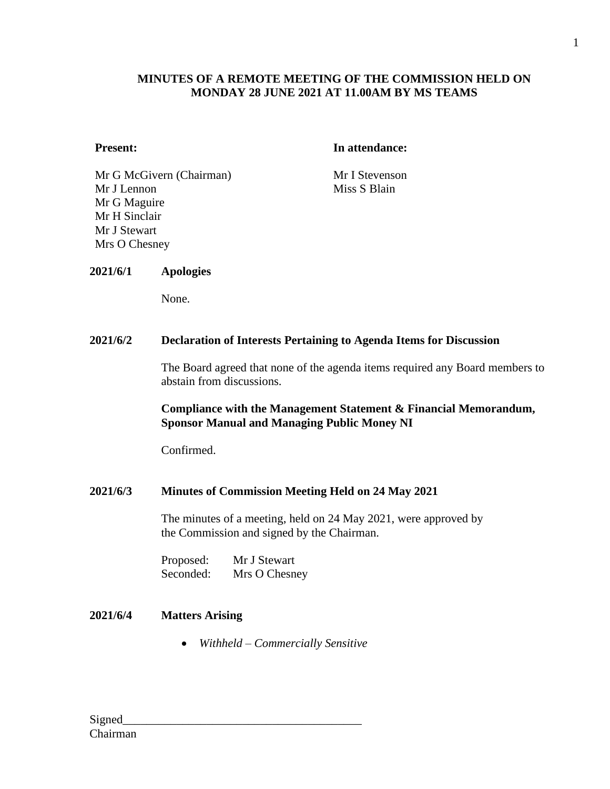## **MINUTES OF A REMOTE MEETING OF THE COMMISSION HELD ON MONDAY 28 JUNE 2021 AT 11.00AM BY MS TEAMS**

#### **Present: In attendance:**

Mr G McGivern (Chairman) Mr I Stevenson Mr J Lennon Mr G Maguire Mr H Sinclair Mr J Stewart Mrs O Chesney

Miss S Blain

### **2021/6/1 Apologies**

None.

#### **2021/6/2 Declaration of Interests Pertaining to Agenda Items for Discussion**

The Board agreed that none of the agenda items required any Board members to abstain from discussions.

### **Compliance with the Management Statement & Financial Memorandum, Sponsor Manual and Managing Public Money NI**

Confirmed.

### **2021/6/3 Minutes of Commission Meeting Held on 24 May 2021**

The minutes of a meeting, held on 24 May 2021, were approved by the Commission and signed by the Chairman.

Proposed: Mr J Stewart Seconded: Mrs O Chesney

## **2021/6/4 Matters Arising**

• *Withheld – Commercially Sensitive*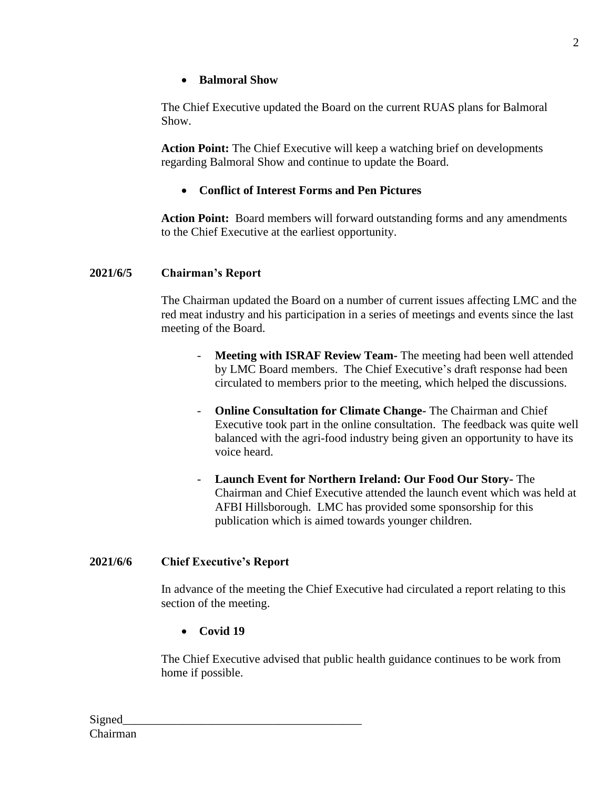## • **Balmoral Show**

The Chief Executive updated the Board on the current RUAS plans for Balmoral Show.

**Action Point:** The Chief Executive will keep a watching brief on developments regarding Balmoral Show and continue to update the Board.

# • **Conflict of Interest Forms and Pen Pictures**

**Action Point:** Board members will forward outstanding forms and any amendments to the Chief Executive at the earliest opportunity.

## **2021/6/5 Chairman's Report**

The Chairman updated the Board on a number of current issues affecting LMC and the red meat industry and his participation in a series of meetings and events since the last meeting of the Board.

- **Meeting with ISRAF Review Team-** The meeting had been well attended by LMC Board members. The Chief Executive's draft response had been circulated to members prior to the meeting, which helped the discussions.
- **Online Consultation for Climate Change-** The Chairman and Chief Executive took part in the online consultation. The feedback was quite well balanced with the agri-food industry being given an opportunity to have its voice heard.
- **Launch Event for Northern Ireland: Our Food Our Story-** The Chairman and Chief Executive attended the launch event which was held at AFBI Hillsborough. LMC has provided some sponsorship for this publication which is aimed towards younger children.

## **2021/6/6 Chief Executive's Report**

In advance of the meeting the Chief Executive had circulated a report relating to this section of the meeting.

• **Covid 19**

The Chief Executive advised that public health guidance continues to be work from home if possible.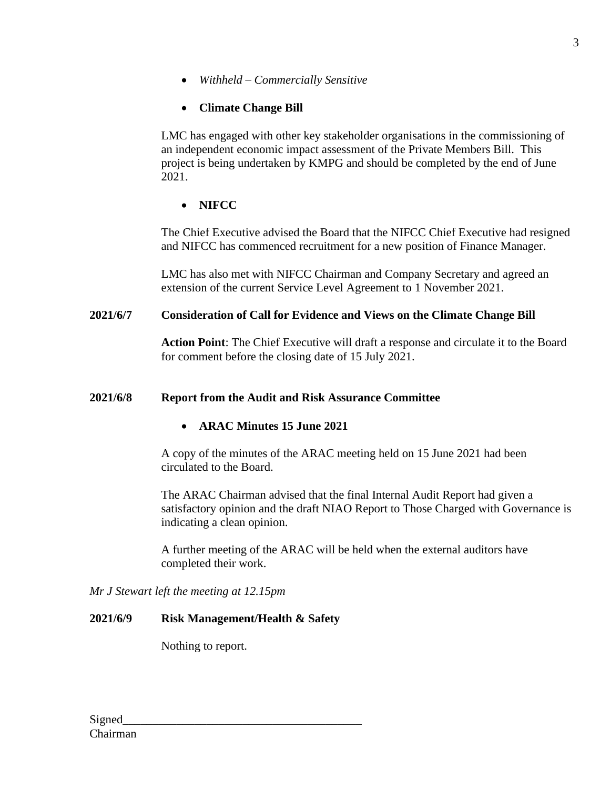• *Withheld – Commercially Sensitive*

# • **Climate Change Bill**

LMC has engaged with other key stakeholder organisations in the commissioning of an independent economic impact assessment of the Private Members Bill. This project is being undertaken by KMPG and should be completed by the end of June 2021.

# • **NIFCC**

The Chief Executive advised the Board that the NIFCC Chief Executive had resigned and NIFCC has commenced recruitment for a new position of Finance Manager.

LMC has also met with NIFCC Chairman and Company Secretary and agreed an extension of the current Service Level Agreement to 1 November 2021.

# **2021/6/7 Consideration of Call for Evidence and Views on the Climate Change Bill**

**Action Point**: The Chief Executive will draft a response and circulate it to the Board for comment before the closing date of 15 July 2021.

# **2021/6/8 Report from the Audit and Risk Assurance Committee**

# • **ARAC Minutes 15 June 2021**

A copy of the minutes of the ARAC meeting held on 15 June 2021 had been circulated to the Board.

The ARAC Chairman advised that the final Internal Audit Report had given a satisfactory opinion and the draft NIAO Report to Those Charged with Governance is indicating a clean opinion.

A further meeting of the ARAC will be held when the external auditors have completed their work.

*Mr J Stewart left the meeting at 12.15pm*

# **2021/6/9 Risk Management/Health & Safety**

Nothing to report.